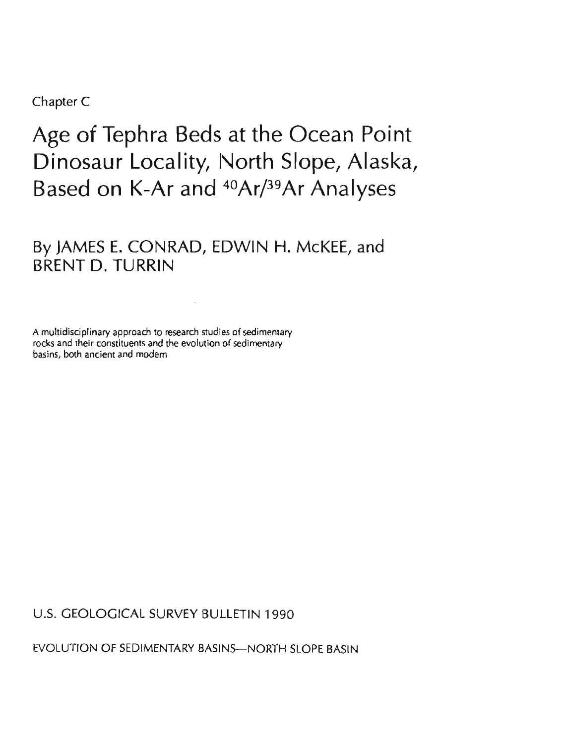Chapter C

# Age of Tephra Beds at the Ocean Point Dinosaur Locality, North Slope, Alaska, Based on K-Ar and 40Ar/39Ar Analyses

By JAMES E. CONRAD, EDWlN H. McKEE, and BRENT D. TURRIN

A multidisciplinary approach to research studies of sedimentary rocks and their constituents and the evolution of sedimentary basins, both ancient and modern

U.S. GEOLOGICAL SURVEY BULLETIN 1990

EVOLUTION OF SEDIMENTARY BASINS-NORTH SLOPE BASIN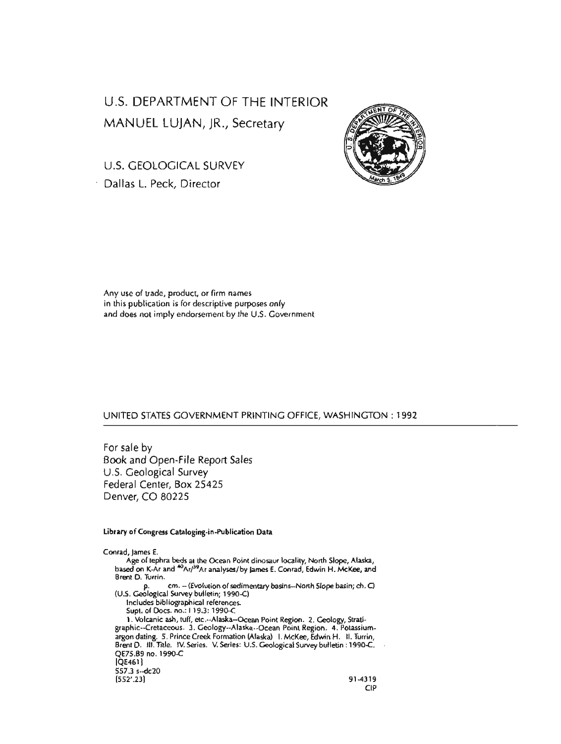# U.S. DEPARTMENT OF THE INTERIOR MANUEL LUJAN, JR., Secretary

**FINT O** 

U.S. GEOLOGICAL SURVEY Dallas L. Peck, Director



#### UNITED STATES GOVERNMENT PRINTING OFFICE, WASHINGTON : 1992

For sale by Book and Open-File Report Sales U.S. Geological Survey Federal Center, Box 25425 Denver, CO 80225

#### **Library of Congress Cataloging-in-Publication Data**

Conrad, lames E.

Age of tephra beds at the Ocean Point dinosaur locality, North Slope, Alaska, based on K-Ar and <sup>40</sup>Ar/<sup>39</sup>Ar analyses/by James E. Conrad, Edwin H. McKee, and Brent D. Turrin. cm. -- (Evolution of sedimentary basins--North Slope basin; ch. C) p. cm. - (Evolution or seam)<br>(U.S. Geological Survey bulletin; 1990-C) Includes bibliographical references. Supt. of Docs. no.: 1 19.3: 1990-C 1. Volcanic ash, tuff, etc.--Alaska--Ocean Point Region. 2. Geology, Stratigraphic-Cretaceous. 3. Geology--Alaska--Ocean Point Region. 4. Potassiumargon dating. 5. Prince Creek Formation (Alaska) I. McKee, Edwin H. II. Turrin, Brent D. Ill. Title. IV. Series. V. Series: U.S. Geological Survey bulletin : 1990C. QE75.89 no. 1990-C  $[QE461]$ 557.3 s--dc20 [552'.23] 91-4319 CIP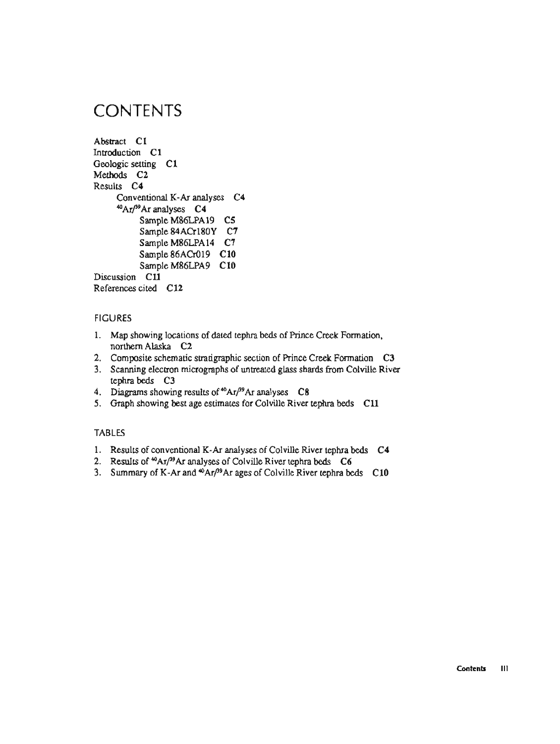# **CONTENTS**

```
Abstract C1 
Introduction C1
Geologic setting C1 
Methods C2 
Results C4 
     Conventional K-Ar analyses C4 
     aAr/39Ar analyses C4 
          Sample M86LPA19 C5 
          Sample 84ACr18OY C7 
          Sample M86LPA14 C7 
          Sample 86ACr019 C10 
          Sample M86LPA9 C 10 
Discussion C11 
References cited C 12
```
# **FIGURES**

- 1. Map showing locations of dated tephra beds of Prince Creek Formation, northern Alaska **C2**
- 2. Composite schematic stratigraphic section of Prince Creek Formation **C3**
- 3. Scanning electron micrographs of untreated glass shards from Colville River tephra beds **C3**
- 4. Diagrams showing results of <sup>40</sup>Ar/<sup>99</sup>Ar analyses C8
- 5. Graph showing best age estimates for Colville River tephra beds **C11**

### **TABLES**

- 1. Results of conventional **K-Ar** analyses of Colville River tephra beds **C4**
- 2. Results of <sup>40</sup>Ar/<sup>39</sup>Ar analyses of Colville River tephra beds C6
- 3. Summary of K-Ar and  $\omega$ Ar<sup>39</sup>Ar ages of Colville River tephra beds C10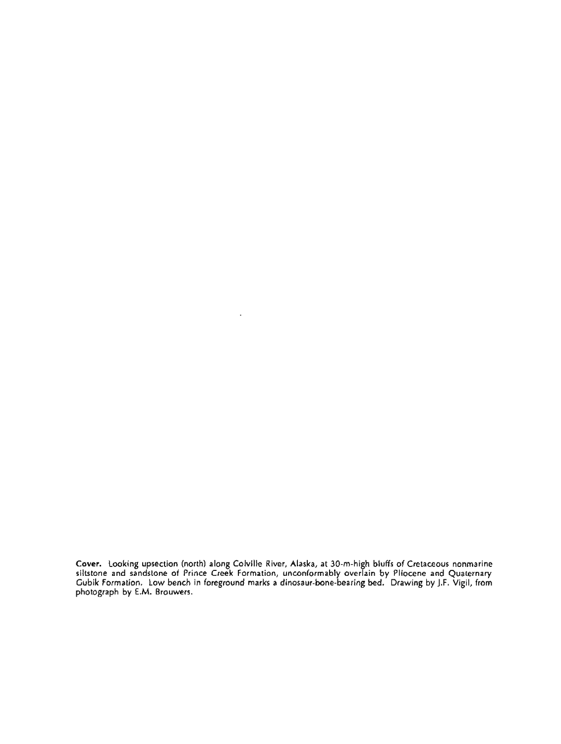**Cover. Looking upsection (north) along Colville River, Alaska, at 30-m-high bluffs of Cretaceous nonmarine siltstone and sandstone of Prince Creek Formation, unconformably overlain by Pliocene and Quaternary Gubik Formation. Low bench in foreground marks a dinosaur-bone-bearing bed. Drawing by J.F. Vigil, from photograph by E.M. Brouwers.** 

 $\ddot{\phantom{a}}$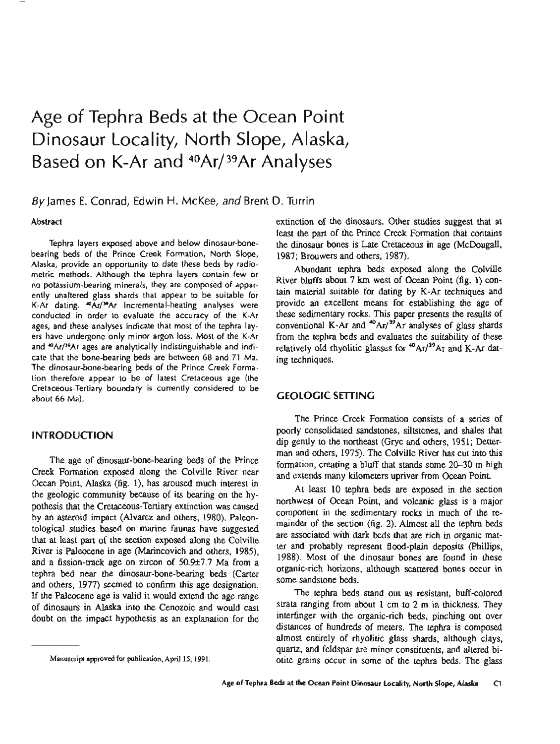# Age of Tephra Beds at the Ocean Point Dinosaur Locality, North Slope, Alaska, Based on K-Ar and 40Ar/39Ar Analyses

By James E. Conrad, Edwin H. McKee, and Brent D. Turrin

#### Abstract

Tephra layers exposed above and below dinosaur-bonebearing beds of the Prince Creek Formation, North Slope, Alaska, provide an opportunity to date these beds by radiometric methods. Although the tephra layers contain few or no potassium-bearing minerals, they are composed of apparently unaltered glass shards that appear to be suitable for K-Ar dating. mAr/39Ar incremental-heating analyses were conducted in order to evaluate the accuracy of the K-Ar ages, and these analyses indicate that most of the tephra layers have undergone only minor argon loss. Most of the K-Ar and  $A$ Ar/<sup>39</sup>Ar ages are analytically indistinguishable and indicate that the bone-bearing beds are between 68 and 71 Ma. The dinosaur-bone-bearing beds of the Prince Creek Formation therefore appear to be of latest Cretaceous age (the Cretaceous-Tertiary boundary is currently considered to be about 66 Ma).

## **INTRODUCTION**

The age of dinosaur-bone-bearing beds of the Prince Creek Formation exposed along the Colville River near Ocean Point, Alaska (fig. l), has aroused much interest in the geologic community because of its bearing on the hypothesis that the Cretaceous-Tertiary extinction was caused by an asteroid impact (Alvarez and others, 1980). Paleontological studies based on marine faunas have suggested that at least part of the section exposed along the Colville River is Paleocene in age (Marincovich and others, 1985), and a fission-track age on zircon of  $50.9\pm7.7$  Ma from a tephra bed near the dinosaur-bone-bearing beds (Carter and others, 1977) seemed to confirm this age designation. If the Paleocene age is valid it would extend the age range of dinosaurs in Alaska into the Cenozoic and would cast doubt on the impact hypothesis as an explanation for the extinction of the dinosaurs. Other studies suggest that at least the part of the Prince Creek Formation that contains the dinosaur bones is Late Cretaceous in age (McDougall, 1987; Brouwers and others, 1987).

Abundant tephra beds exposed along the Colville River bluffs about 7 km west of Ocean Point (fig. 1) contain material suitable for dating by K-Ar techniques and provide an excellent means for establishing the age of these sedimentary rocks. This paper presents the results of conventional K-Ar and  $^{40}$ Ar/ $^{39}$ Ar analyses of glass shards from the tephra beds and evaluates the suitability of these relatively old rhyolitic glasses for <sup>40</sup>Ar<sup>/39</sup>Ar and K-Ar dating techniques.

# **GEOLOGIC SETTING**

The Prince Creek Formation consists of a series of poorly consolidated sandstones, siltstones, and shales that dip gently to the northeast (Gryc and others, 1951; Detterman and others, 1975). The Colville River has cut into this formation, creating a bluff that stands some 20-30 m high and extends many kilometers upriver from Ocean Point.

At least 10 tephra beds are exposed in the section northwest of Ocean Point, and volcanic glass is a major component in the sedimentary rocks in much of the remainder of the section (fig. 2). Almost all the tephra beds are associated with **dark** beds that are rich in organic matter and probably represent flood-plain deposits (Phillips, 1988). Most of the dinosaur bones are found in these organic-rich horizons, although scattered bones occur in some sandstone beds.

The tephra beds stand out as resistant, buff-colored strata ranging from about 1 cm to 2 m in thickness. They interfinger with the organic-rich beds, pinching out over distances of hundreds of meters. The tephra is composed almost entirely of rhyolitic glass shards, although clays, quartz, and feldspar are minor constituents, and altered biotite grains occur in some of the tephra beds. The glass

**Manuscript approved for publication, April 15,1991.**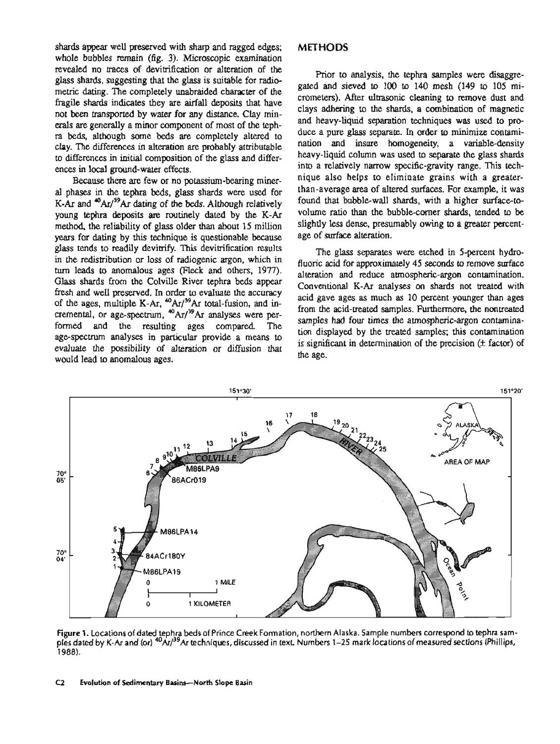shards appear well preserved with sharp and ragged edges; whole bubbles remain (fig. 3). Microscopic examination revealed no traces of devimfication or alteration of the glass shards, suggesting that the glass is suitable for radiometric dating. The completely unabraided character of the fragile shards indicates they are airfall deposits that have not been transported by water for any distance. Clay minerals are generally a minor component of most of the tephra beds, although some beds are completely altered to clay. The differences in alteration are probably attributable to differences in initial composition of the glass and differences in local ground-water effects.

Because there are few or no potassium-bearing mineral phases in the tephra beds, glass shards were used for K-Ar and  $^{40}Ar/^{39}Ar$  dating of the beds. Although relatively young tephra deposits are routinely dated by the K-Ar method, the reliability of glass older than about 15 million years for dating by this technique is questionable because glass tends to readily devitrify. This devitrification results in the redistribution or loss of radiogenic argon, which in turn leads to anomalous ages (Fleck and others, 1977). Glass shards from the Colville River tephra beds appear fresh and well preserved. In order to evaluate the accuracy of the ages, multiple K-Ar, <sup>40</sup>Ar/<sup>39</sup>Ar total-fusion, and incremental, or age-spectrum, <sup>40</sup>Ar/<sup>39</sup>Ar analyses were performed and the resulting ages compared. The age-spectrum analyses in particular provide a means to evaluate the possibility of alteration or diffusion that would lead to anomalous ages.

#### **METHODS**

Prior to analysis, the tephra samples were disaggregated and sieved to 100 to 140 mesh (149 to 105 micrometers). After ultrasonic cleaning to remove dust and clays adhering to the shards, a combination of magnetic and heavy-liquid separation techniques was used to produce a pure glass separate. In order to minimize contamination and insure homogeneity, a variable-density heavy-liquid column was used to separate the glass shards into a relatively narrow specific-gravity range. This technique also helps to eliminate grains with a greaterthan-average area of altered surfaces. For example, it was found that bubble-wall shards, with a higher surface-tovolume ratio than the bubble-corner shards, tended to be slightly less dense, presumably owing to a greater percentage of surface alteration.

The glass separates were etched in 5-percent hydrofluoric acid for approximately 45 seconds to remove surface alteration and reduce atmospheric-argon contamination. Conventional K-Ar analyses on shards not treated with acid gave ages as much as 10 percent younger than ages from the acid-treated samples. Furthermore, the nontreated samples had four times the atmospheric-argon contamination displayed by the treated samples; this contamination is significant in determination of the precision  $(\pm$  factor) of the age.



Figure 1. Locations of dated tephra beds of Prince Creek Formation, northern Alaska. Sample numbers correspond to tephra samples dated by K-Ar and (or) <sup>40</sup>Ar/<sup>39</sup>Ar techniques, discussed in text. Numbers 1-25 mark locations of measured sections (Phillips, 1988).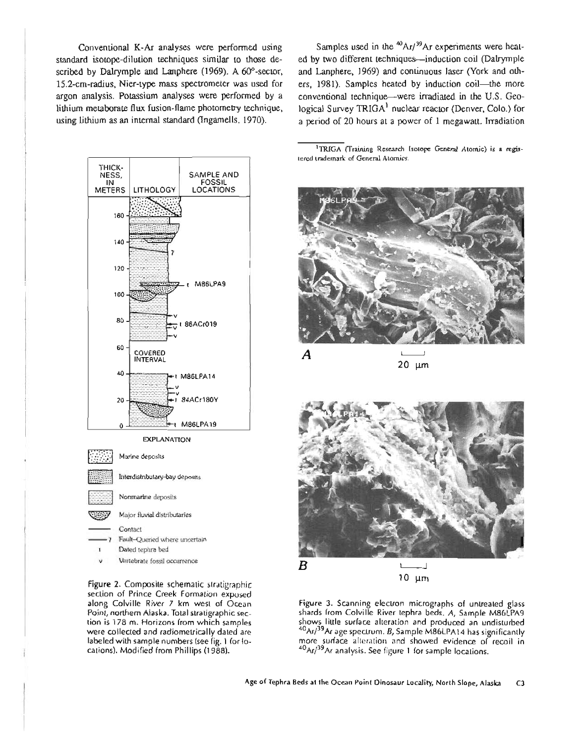standard isotope-dilution techniques similar to those de- ed by two different techniques-induction coil (Dalrymple scribed by Dalrymple and Lanphere (1969). A 60°-sector, and Lanphere, 1969) and continuous laser (York and oth-15.2-cm-radius, Nier-type mass spectrometer was used for ers, 1981). Samples heated by induction coil-the more argon analysis. Potassium analyses were performed by a conventional technique-were irradiated in the U.S. Geolithium metaborate flux fusion-flame photometry technique, logical Survey TRIGA<sup>1</sup> nuclear reactor (Denver, Colo.) for using lithium as an internal standard (Ingamells, 1970). a period of 20 hours at a power of 1 megawatt. Irradiation



section of Prince Creek Formation exposed

Conventional K-Ar analyses were performed using Samples used in the <sup>40</sup>Ar/<sup>39</sup>Ar experiments were heat-

<sup>1</sup>TRIGA (Training Research Isotope General Atomic) is a regis**tered trademark of General Atomics.** 



 $20 \mu m$ 



along Colville River 7 km west of Ocean **Figure 3.** Scanning electron micrographs of untreated glass shards from Colville River tephra beds. A, Sample M86LPA9 tion is 178 m. Horizons from which samples shows little surface alteration and produced an undisturbed were collected and radiometrically dated are <sup>40</sup>Ar/<sup>39</sup>Ar age spectrum. B, Sample M86LPA14 has significantly labeled with sample numbers (see fig. 1 for lo- more surface alteration and showed evidence of recoil in cations). Modified from Phillips (1988).  $40A<sub>rf</sub>$ <sup>19</sup>Ar analysis. See figure 1 for sample locations.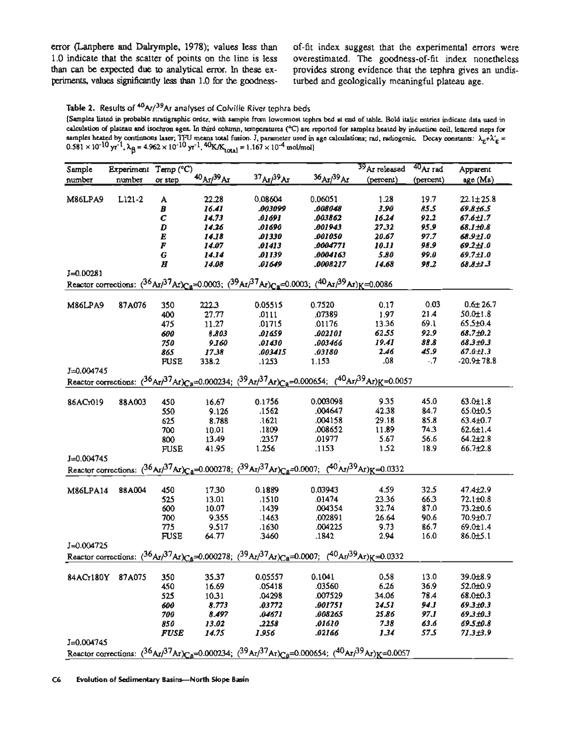error (Lanphere and Dalrymple, 1978); values less than of-fit index suggest that the experimental errors were 1.0 indicate that the scatter of points on the line is less overestimated. The goodness-of-fit index nonetheless than can be expected due to analytical error. In these ex- provides strong evidence that the tephra gives an undisperiments, values significantly less than 1.0 for the goodness- turbed and geologically meaningful plateau age.

Table 2. Results of <sup>40</sup>Ar/<sup>39</sup>Ar analyses of Colville River tephra beds

**[Samples listed in probable stratigraphic order, with sample from lowermost tephra bed at end of table. Bold italic entries indicate data used in**  calculation of plateau and isochron ages. In third column, temperatures (°C) are reported for samples heated by induction coil, lettered steps for **samples heated by continuous laser; TFU means total fusion. J, parameter used in age calculations; rad, radiogenic.** Decay **constants: &+XE** =  $0.581 \times 10^{-10}$  yr<sup>-1</sup>,  $\lambda_B = 4.962 \times 10^{-10}$  yr<sup>-1</sup>,  $40$ K/K<sub>rotal</sub> = 1.167  $\times 10^{-4}$  mol/mol]

| Sample                                                                                                                                                      | Experiment Temp (°C) |             |                      |                                                                                                                                      |                                    | 39 Ar released      | 40 Ar rad | Apparent        |
|-------------------------------------------------------------------------------------------------------------------------------------------------------------|----------------------|-------------|----------------------|--------------------------------------------------------------------------------------------------------------------------------------|------------------------------------|---------------------|-----------|-----------------|
|                                                                                                                                                             | number               |             | $40A_{T}/^{39}A_{T}$ | $^{37}$ Ar/ $^{39}$ Ar                                                                                                               | 36A <sub>1</sub> /39A <sub>1</sub> | (percent)           | (percent) | age (Ma)        |
| number                                                                                                                                                      |                      | or step     |                      |                                                                                                                                      |                                    |                     |           |                 |
|                                                                                                                                                             |                      |             |                      |                                                                                                                                      |                                    |                     |           |                 |
| <b>M86LPA9</b>                                                                                                                                              | $L121-2$             | A           | 22.28                | 0.08604                                                                                                                              | 0.06051                            | 1.28                | 19.7      | $22.1 \pm 25.8$ |
|                                                                                                                                                             |                      | B           | 16.41                | .003099                                                                                                                              | .008048                            | 3.90                | 85.5      | 69.8±6.5        |
|                                                                                                                                                             |                      | C           | 14.73                | .01691                                                                                                                               | .003862                            | 16.24               | 92.2      | 67.6±1.7        |
|                                                                                                                                                             |                      | D           | 14.26                | .01690                                                                                                                               | .001943                            | 27.32               | 95.9      | 68.1±0.8        |
|                                                                                                                                                             |                      | E           | 14.18                | <b>D1330</b>                                                                                                                         | .001050                            | 20.67               | 97.7      | 68.9±1.0        |
|                                                                                                                                                             |                      | F           | 14.07                | .01413                                                                                                                               | .0004771                           | <i><b>10.11</b></i> | 98.9      | 69.2±1.0        |
|                                                                                                                                                             |                      | G           | 14.14                | .01139                                                                                                                               | .0004163                           | 5.80                | 99.0      | 69.7±1.0        |
|                                                                                                                                                             |                      | H           | 14.08                | .01649                                                                                                                               | .0008217                           | 14.68               | 98.2      | <i>68.8±1.3</i> |
| $J=0.00281$                                                                                                                                                 |                      |             |                      |                                                                                                                                      |                                    |                     |           |                 |
| Reactor corrections: $({}^{36}Ar/{}^{37}Ar)_{Ca} = 0.0003$ ; $({}^{39}Ar/{}^{37}Ar)_{Ca} = 0.0003$ ; $({}^{40}Ar/{}^{39}Ar)_{K} = 0.0086$                   |                      |             |                      |                                                                                                                                      |                                    |                     |           |                 |
| M86LPA9                                                                                                                                                     | 87A076               | 350         | 222.3                | 0.05515                                                                                                                              | 0.7520                             | 0.17                | 0.03      | $0.6 \pm 26.7$  |
|                                                                                                                                                             |                      | 400         | 27.77                | .0111                                                                                                                                | .07389                             | 1.97                | 21A       | $50.0 \pm 1.8$  |
|                                                                                                                                                             |                      |             |                      | .01715                                                                                                                               | .01176                             | 13.36               | 69.1      | $65.5 \pm 0.4$  |
|                                                                                                                                                             |                      | 475         | 11.27                |                                                                                                                                      |                                    |                     |           |                 |
|                                                                                                                                                             |                      | 600         | 8.803                | .01659                                                                                                                               | .002101                            | 62.55               | 92.9      | 68.7±0.2        |
|                                                                                                                                                             |                      | 750         | 9.160                | .01430                                                                                                                               | .003466                            | 19.41               | 88.8      | 68.3±0.3        |
|                                                                                                                                                             |                      | 865         | 17.38                | .003415                                                                                                                              | .03180                             | 2.46                | 45.9      | $67.0 \pm 1.3$  |
|                                                                                                                                                             |                      | <b>FUSE</b> | 338.2                | .1253                                                                                                                                | 1.153                              | .08                 | $-0.7$    | $-20.9 + 78.8$  |
| $J=0.004745$                                                                                                                                                |                      |             |                      |                                                                                                                                      |                                    |                     |           |                 |
|                                                                                                                                                             |                      |             |                      | Reactor corrections: $({}^{36}Ar/{}^{37}Ar)Ca = 0.000234$ ; $({}^{39}Ar/{}^{37}Ar)Ca = 0.000654$ ; $({}^{40}Ar/{}^{39}Ar)K = 0.0057$ |                                    |                     |           |                 |
| 86ACr019                                                                                                                                                    | 88A003               | 450         | 16.67                | 0.1756                                                                                                                               | 0.003098                           | 9.35                | 45.0      | $63.0 \pm 1.8$  |
|                                                                                                                                                             |                      | 550         | 9.126                | .1562                                                                                                                                | .004647                            | 42.38               | 84.7      | 65.0±0.5        |
|                                                                                                                                                             |                      | 625         | 8.788                | .1621                                                                                                                                | .004158                            | 29.18               | 85.8      | 63.4±0.7        |
|                                                                                                                                                             |                      | 700         | 10.01                | .1809                                                                                                                                | .008652                            | 11.89               | 743       | $62.6 \pm 1.4$  |
|                                                                                                                                                             |                      | 800         | 13.49                | .2357                                                                                                                                | .01977                             | 5.67                | 56.6      | $64.2 \pm 2.8$  |
|                                                                                                                                                             |                      | <b>FUSE</b> | 41.95                | 1.256                                                                                                                                | .1153                              | 1.52                | 18.9      | 66.7±2.8        |
| $J=0.004745$                                                                                                                                                |                      |             |                      |                                                                                                                                      |                                    |                     |           |                 |
|                                                                                                                                                             |                      |             |                      |                                                                                                                                      |                                    |                     |           |                 |
| Reactor corrections: $({}^{36}Ar/{}^{37}Ar)_{\text{C}8}$ =0.000278; $({}^{39}Ar/{}^{37}Ar)_{\text{C}8}$ =0.0007; $({}^{40}Ar/{}^{39}Ar)_{\text{K}}$ =0.0332 |                      |             |                      |                                                                                                                                      |                                    |                     |           |                 |
| <b>M86LPA14</b>                                                                                                                                             | 88A004               | 450         | 17.30                | 0.1889                                                                                                                               | 0.03943                            | 4.59                | 32.5      | 47.4±2.9        |
|                                                                                                                                                             |                      | 525         | 13.01                | .1510                                                                                                                                | .01474                             | 23.36               | 66.3      | $72.1 \pm 0.8$  |
|                                                                                                                                                             |                      | 600         | 10.07                | .1439                                                                                                                                | .004354                            | 32.74               | 87.0      | $73.2 \pm 0.6$  |
|                                                                                                                                                             |                      | 700         | 9.355                | .1463                                                                                                                                | .002891                            | 26.64               | 90.6      | 70.9±0.7        |
|                                                                                                                                                             |                      | 775         | 9.517                | .1630                                                                                                                                | .004225                            | 9.73                | 86.7      | 69.0±1.4        |
|                                                                                                                                                             |                      | <b>FUSE</b> | 64.77                | .3460                                                                                                                                | .1842                              | 2.94                | 16.0      | 86.0±5.1        |
| $J = 0.004725$                                                                                                                                              |                      |             |                      |                                                                                                                                      |                                    |                     |           |                 |
|                                                                                                                                                             |                      |             |                      |                                                                                                                                      |                                    |                     |           |                 |
| Reactor corrections: $({}^{36}Ar/{}^{37}Ar)_{Ca} = 0.000278$ ; $({}^{39}Ar/{}^{37}Ar)_{Ca} = 0.0007$ ; $({}^{40}Ar/{}^{39}Ar)_{K} = 0.0332$                 |                      |             |                      |                                                                                                                                      |                                    |                     |           |                 |
| 84ACr180Y                                                                                                                                                   | 87A075               | 350         | 35.37                | 0.05557                                                                                                                              | 0.1041                             | 0.58                | 13.0      | 39.0±8.9        |
|                                                                                                                                                             |                      | 450         | 16.69                | .05418                                                                                                                               | .03560                             | 6.26                | 36.9      | $52.0 \pm 0.9$  |
|                                                                                                                                                             |                      | 525         | 10.31                | .04298                                                                                                                               | .007529                            | 34.06               | 78.4      | 68.010.3        |
|                                                                                                                                                             |                      | 600         | 8.773                | .03772                                                                                                                               | .001751                            | 24.51               | 94.J      | 69.3±0.3        |
|                                                                                                                                                             |                      | 700         | 8.497                | .04671                                                                                                                               | .008265                            | 25.86               | 97.J      | 69.3±0.3        |
|                                                                                                                                                             |                      | 850         | 13.02                | .2258                                                                                                                                | .01610                             | 7.38                | 63.6      | 69.5±0.8        |
|                                                                                                                                                             |                      | <b>FUSE</b> | 14.75                | 1.956                                                                                                                                | .02166                             | 134                 | 57.5      | $71.3 \pm 3.9$  |
| $J=0.004745$                                                                                                                                                |                      |             |                      |                                                                                                                                      |                                    |                     |           |                 |
| Reactor corrections: $({}^{36}A_{I}/{}^{37}Ar)_{Ca} = 0.000234$ ; $({}^{39}Ar)^{37}Ar)_{Ca} = 0.000654$ ; $({}^{40}Ar)^{39}Ar)_{K} = 0.0057$                |                      |             |                      |                                                                                                                                      |                                    |                     |           |                 |
|                                                                                                                                                             |                      |             |                      |                                                                                                                                      |                                    |                     |           |                 |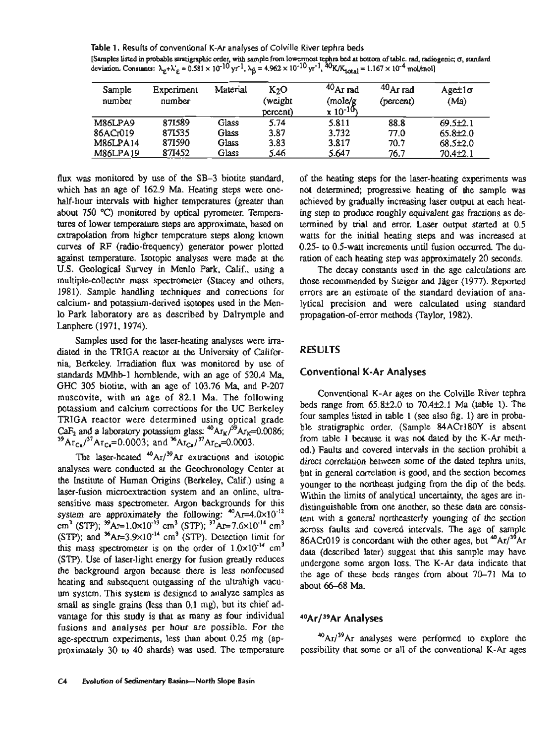**Table** 1. Results of conventional K-Ar analyses of Colville River tephra beds [Samples listed in probable stratigraphic order, with sample from lowermost tephra bed at bottom of table. rad, radiogenic;  $\sigma$ , standard deviation. Constants:  $\lambda_r + \lambda'_F = 0.581 \times 10^{-10}$  yr<sup>-1</sup>,  $\lambda_\beta = 4.962 \times 10^{-10}$  yr<sup>-1</sup>,  $^{40}$ K/K<sub>10tal</sub> = 1.167  $\times 10^{-4}$  mol/mol]

| Sample<br>number | Experiment<br>number | Material | K <sub>2</sub> O<br>(weight<br>percent) | $40$ Ar rad<br>(mole/g<br>$x 10^{-10}$ | $40$ Ar rad<br>(percent) | $Aget1\sigma$<br>(Ma) |
|------------------|----------------------|----------|-----------------------------------------|----------------------------------------|--------------------------|-----------------------|
| M86LPA9          | 871589               | Glass    | 5.74                                    | 5.811                                  | 88.8                     | $69.5+2.1$            |
| 86ACr019         | 871535               | Glass    | 3.87                                    | 3.732                                  | 77.0                     | $65.8{\pm}2.0$        |
| M86LPA14         | 871590               | Glass    | 3.83                                    | 3.817                                  | 70.7                     | $68.5\pm2.0$          |
| M86LPA19         | 871452               | Glass    | 5.46                                    | 5.647                                  | 76.7                     | $70.4 \pm 2.1$        |

flux was monitored by use of the SB-3 biotite standard, which has an age of 162.9 Ma. Heating steps were onehalf-hour intervals with higher temperatures (greater than about 750 **"C)** monitored by optical pyrometer. Temperatures of lower temperature steps are approximate, based on extrapolation from higher temperature steps along known curves of **RF** (radio-frequency) generator power plotted against temperature. Isotopic analyses were made at the U.S. Geological Survey in Menlo Park, Calif,, using a multiple-collector mass spectrometer (Stacey and others, 1981). Sample handling techniques and corrections for calcium- and potassium-derived isotopes used in the Menlo Park laboratory are as described by Dalrymple and Lanphere (1971, 1974).

Samples used for the laser-heating analyses were irradiated in the TRIGA reactor at the University of California, Berkeley. Irradiation flux was monitored by use of standards MMhb-1 hornblende, with an age of 520.4 Ma, GHC 305 biotite, with an age of 103.76 Ma, and P-207 muscovite, with an age of 82.1 Ma. The following potassium and calcium corrections for the UC Berkeley TRIGA reactor were determined using optical grade CaF<sub>2</sub> and a laboratory potassium glass:  $^{40}Ar_K$ <sup>39</sup>A $r_K$ =0.0086;  $^{39}Ar_{Ca}/^{37}Ar_{Ca}=0.0003$ ; and  $^{36}Ar_{Ca}/^{37}Ar_{Ca}=0.0003$ .

The laser-heated  $^{40}$ Ar/<sup>39</sup>Ar extractions and isotopic analyses were conducted at the Geochronology Center at the Institute of Human Origins (Berkeley, Calif.) using a laser-fusion microextraction system and an online, ultrasensitive mass spectrometer. Argon backgrounds for this system are approximately the following:  $^{40}$ Ar=4.0×10<sup>-12</sup> cm<sup>3</sup> (STP);  $^{39}Ar=1.0\times10^{-13}$  cm<sup>3</sup> (STP);  $^{37}Ar=7.6\times10^{-14}$  cm<sup>3</sup> (STP); and  ${}^{36}Ar=3.9\times10^{-14}$  cm<sup>3</sup> (STP). Detection limit for this mass spectrometer is on the order of  $1.0 \times 10^{-14}$  cm<sup>3</sup> (STP). Use of laser-light energy for fusion greatly reduces the background argon because there is less nonfocused heating and subsequent outgassing of the ultrahigh vacuum system. This system is designed to analyze samples as small as single grains (less than 0.1 mg), but its chief advantage for this study is that as many as four individual fusions and analyses per hour are possible. For the age-spectrum experiments, less than about 0.25 mg (approximately 30 to 40 shards) was used. The temperature

of the heating steps for the laser-heating experiments was not determined, progressive heating of the sample was achieved by gradually increasing laser output at each heating step to produce roughly equivalent gas fractions as determined by trial and error. Laser output started at 0.5 watts for the initial heating steps and was increased at 0.25- to 0.5-watt increments until fusion occurred. The duration of each heating step was approximately 20 seconds.

The decay constants used in the age calculations are those recommended by Steiger and Jager (1977). Reported errors are an estimate of the standard deviation of analytical precision and were calculated using standard propagation-of-error methods (Taylor, 1982).

# **RESULTS**

### **Conventional K-Ar Analyses**

Conventional K-Ar ages on the Colville River tephra beds range from  $65.8\pm2.0$  to  $70.4\pm2.1$  Ma (table 1). The four samples listed in table 1 (see also **fig.** 1) are in probable stratigraphic order. (Sample 84ACr180Y is absent from table 1 because it was not dated by the K-Ar method.) Faults and covered intervals in the section prohibit a direct correlation between some of the dated tephra units, but in general correlation is good, and the section becomes younger to the northeast judging from the dip of the beds. Within the limits of analytical uncertainty, the ages are indistinguishable from one another, so these data are consistent with a general northeasterly younging of the section across faults and covered intervals. The age of sample 86ACr019 is concordant with the other ages, but  $^{40}Ar/^{39}Ar$ data (described later) suggest that this sample may have undergone some argon loss. The K-Ar data indicate that the age of these beds ranges from about 70-71 Ma to about 66-68 Ma.

### **40Ar/39Ar Analyses**

 $^{40}$ Ar/ $^{39}$ Ar analyses were performed to explore the possibility that some or all of the conventional K-Ar ages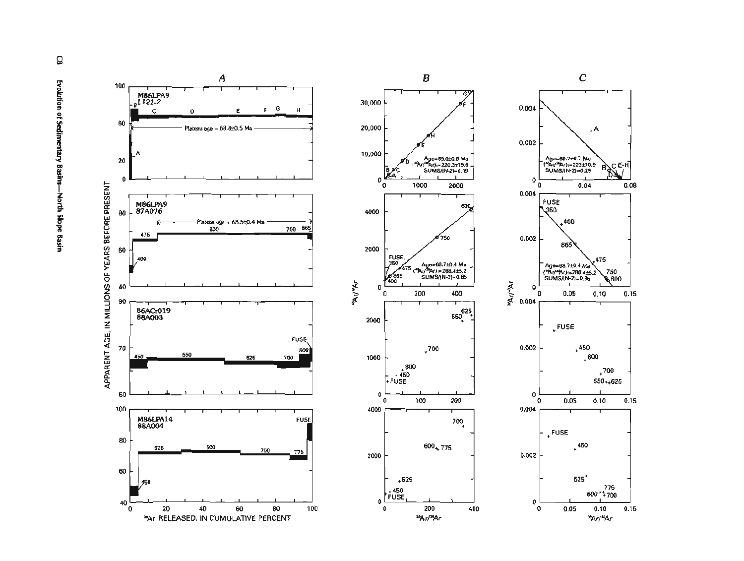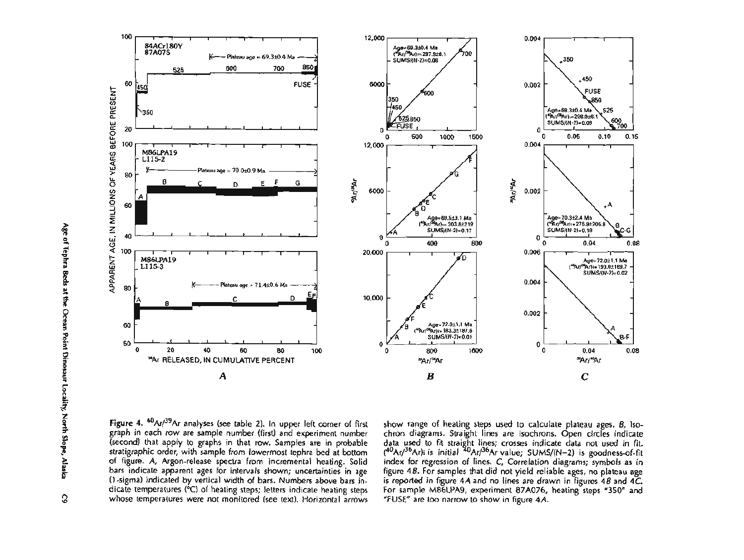

Figure 4.  $40Ar/39Ar$  analyses (see table 2). In upper left corner of first graph in each row are sample number (first) and experiment number (second) that apply to graphs in that row. Samples are in probable stratigraphic order, with sample from lowermost tephra bed at bottom of figure. A, Argon-release spectra from incremental heating. Solid bars indicate apparent ages for intervals shown; uncertainties in age (I-sigma) indicated by vertical width of bars. Numbers above bars indicate temperatures (°C) of heating steps; letters indicate heating steps whose temperatures were not monitored (see text). Horizontal arrows

show range of heating steps used to calculate plateau ages. **B,** Isochron diagrams. Straight lines are isochrons. Open circles indicate data used to fit straight lines; crosses indicate data not used in fit. (<sup>40</sup>Ar/<sup>36</sup>Ar)i is initial <sup>40</sup>Ar/<sup>36</sup>Ar value; SUMS/(N-2) is goodness-of-fit index for regression of lines. **C,** Correlation diagrams; symbols as in figure **4B.** For samples that did not yield reliable ages, no plateau age is reported in figure **4A** and no lines are drawn in figures **48** and **4C.**  For sample M86LPA9, experiment **87A076,** heating steps "350" and "FUSE" are too narrow to show in figure 4A.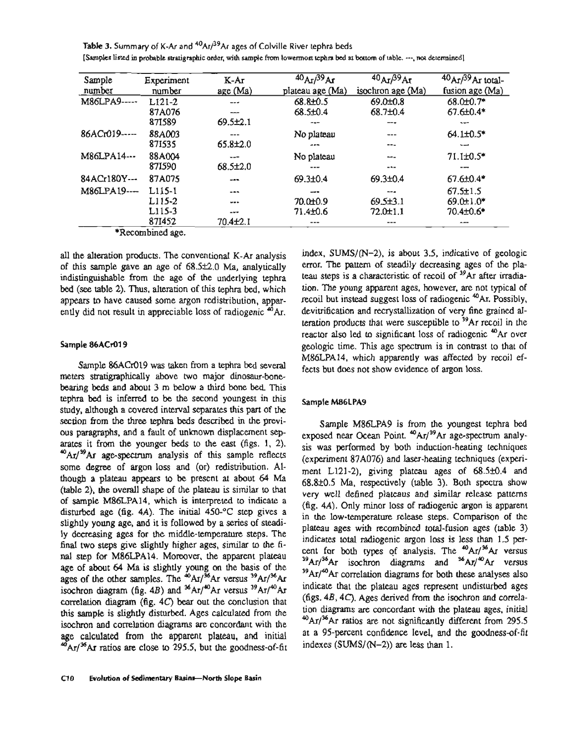**Table 3.** Summary of K-Ar and <sup>40</sup>Ar/<sup>39</sup>Ar ages of Colville River tephra beds **[Samples listed in probable stratigraphic order, with sample from lowermost tephra bed at bottom of table.** ---, **not determined]** 

| Sample       | Experiment | K-Ar           | 40A <sub>T</sub> /39Ar | $40A$ r $/39A$ r  | $40$ Ar/ $39$ Ar total- |
|--------------|------------|----------------|------------------------|-------------------|-------------------------|
| number       | number     | age (Ma)       | plateau age (Ma)       | isochron age (Ma) | fusion age $(Ma)$       |
| M86LPA9----- | $L121-2$   | ---            | 68.8±0.5               | $69.0 \pm 0.8$    | 68.0±0.7*               |
|              | 87A076     |                | $68.5 \pm 0.4$         | $68,7\pm0.4$      | $67.6 \pm 0.4*$         |
|              | 871589     | $69.5 \pm 2.1$ | ---                    | ---               | $-$                     |
| 86ACr019---- | 88A003     | ---            | No plateau             | ---               | $64.1 \pm 0.5*$         |
|              | 871535     | $65.8 \pm 2.0$ | $-1$                   | ---               | --                      |
| M86LPA14---  | 88A004     | ---            | No plateau             | ---               | $71.1\pm0.5*$           |
|              | 871590     | $68.5 \pm 2.0$ |                        | -9-               |                         |
| 84ACr180Y--- | 87A075     | ---            | 69.3±0.4               | $69.3 \pm 0.4$    | $67.6 \pm 0.4*$         |
| M86LPA19---  | $L115-1$   | $-$            | --                     | $- -$             | $67.5 \pm 1.5$          |
|              | L115-2     | $- - -$        | $70.0 \pm 0.9$         | 69.5±3.1          | $69.0 \pm 1.0*$         |
|              | L115-3     | $-9 -$         | 71.4±0.6               | $72.0 \pm 1.1$    | 70.4±0.6*               |
|              | 871452     | 70.4±2.1       | ---                    | ---               | $- - -$                 |

\*Recombined age.

all the alteration products. The conventional K-Ar analysis of this sample gave an age of  $68.5±2.0$  Ma, analytically indistinguishable from the age of the underlying tephra bed (see table 2). Thus, alteration of this tephra bed, which appears to have caused some argon redistribution, apparently did not result in appreciable loss of radiogenic <sup>40</sup>Ar.

#### **Sample 86ACr019**

Sample 86ACr019 was taken from a tephra bed several meters stratigraphically above two major dinosaur-bonebearing beds and about 3 m below a third bone bed. This tephra bed is inferred to be the second youngest in this study, although a covered interval separates this part of the section from the three tephra beds described in the previous paragraphs, and a fault of unknown displacement separates it from the younger beds to the east (figs. 1, 2). <sup>40</sup>Ar/<sup>39</sup>Ar age-spectrum analysis of this sample reflects some degree of argon loss and (or) redistribution. Although a plateau appears to be present at about 64 Ma (table 2), the overall shape of the plateau is similar to that of sample M86LPA14, which is interpreted to indicate a disturbed age (fig.  $4A$ ). The initial  $450\text{-}^\circ\text{C}$  step gives a slightly young age, and it is followed by a series of steadily decreasing ages for the middle-temperature steps. The final two steps give slightly higher ages, similar to the final step for M86LPA14. Moreover, the apparent plateau age of about 64 Ma is slightly young on the basis of the ages of the other samples. The  $^{40}$ Ar/ $^{36}$ Ar versus  $^{39}$ Ar/ $^{36}$ Ar isochron diagram (fig. 4B) and  $^{36}Ar/^{40}Ar$  versus  $^{39}Ar/^{40}Ar$ correlation diagram (fig. 4C) bear out the conclusion that this sample is slightly disturbed. Ages calculated from the isochron and correlation diagrams are concordant with the age calculated from the apparent plateau, and initial  $4\pi$ /<sup>36</sup>Ar ratios are close to 295.5, but the goodness-of-fit index,  $SUMS/(N-2)$ , is about 3.5, indicative of geologic error. The pattern of steadily decreasing ages of the plateau steps is a characteristic of recoil of <sup>39</sup>Ar after irradiation. The young apparent ages, however, are not typical of recoil but instead suggest loss of radiogenic 40Ar. Possibly, devitrification and recrystallization of very fine grained alteration products that were susceptible to  $39Ar$  recoil in the reactor also led to significant loss of radiogenic <sup>40</sup>Ar over geologic time. This age spectrum is in contrast to that of M86LPA14, which apparently was affected by recoil effects but does not show evidence of argon loss.

#### **Sample M86LPA9**

Sample M86LPA9 is from the youngest tephra bed exposed near Ocean Point.  $40Ar/^{39}Ar$  age-spectrum analysis was performed by both induction-heating techniques (experiment 87A076) and laser-heating techniques (experiment L121-2), giving plateau ages of  $68.5\pm0.4$  and 68.8k0.5 Ma, respectively (table 3). Both spectra show very well defined plateaus and similar release patterns (fig. 4A). Only minor loss of radiogenic argon is apparent in the low-temperature release steps. Comparison of the plateau ages with recombined total-fusion ages (table 3) indicates total radiogenic argon loss is less than 1.5 percent for both types of analysis. The <sup>40</sup>Ar/<sup>36</sup>Ar versus  $39Ar/36Ar$  isochron diagrams and  $36Ar/^{40}Ar$  versus  $39Ar/40Ar$  correlation diagrams for both these analyses also indicate that the plateau ages represent undisturbed ages (figs. 4B, 4C). Ages derived from the isochron and correlation diagrams are concordant with the plateau ages, initial <sup>40</sup>Ar/<sup>36</sup>Ar ratios are not significantly different from 295.5 at a 95-percent confidence level, and the goodness-of-fit indexes (SUMS/(N-2)) are less than 1.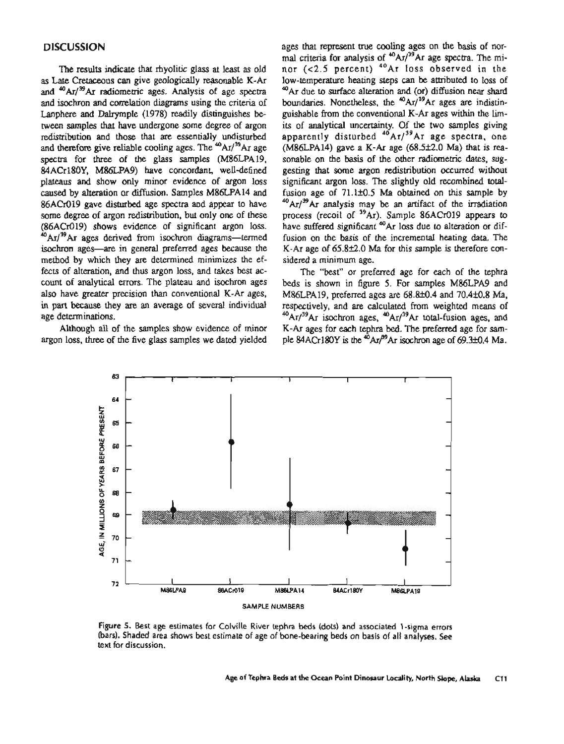### **DISCUSSION**

The results indicate that rhyolitic glass at least as old as Late Cretaceous can give geologically reasonable K-Ar and  $40$ Ar/ $39$ Ar radiometric ages. Analysis of age spectra and isochron and correlation diagrams using the criteria of Lanphere and Dalryrnple (1978) readily distinguishes between samples that have undergone some degree of argon redistribution and those that are essentially undisturbed and therefore give reliable cooling ages. The  $^{40}$ Ar/ $^{39}$ Ar age spectra for three of the glass samples (M86LPA19, 84ACr180Y, M86LPA9) have concordant, well-defined plateaus and show only minor evidence of argon loss caused by alteration or diffusion. Samples M86LPA14 and 86ACr019 gave disturbed age spectra and appear to have some degree of argon redistribution, but only one of these (86ACr019) shows evidence of significant argon loss.  $^{40}$ Ar/<sup>39</sup>Ar ages derived from isochron diagrams-termed isochron ages-are in general preferred ages because the method by which they **are** determined minimizes the effects of alteration, and thus argon loss, and takes best account of analytical errors. The plateau and isochron ages also have greater precision than conventional K-Ar ages, in part because they are an average of several individual age determinations.

Although **all** of the samples show evidence of minor argon loss, three of the five glass samples we dated yielded ages that represent me cooling ages on the basis of normal criteria for analysis of  $^{40}$ Ar/<sup>39</sup>Ar age spectra. The minor (<2.5 percent) <sup>40</sup>Ar loss observed in the low-temperature heating steps can be attributed to loss of <sup>40</sup>Ar due to surface alteration and (or) diffusion near shard boundaries. Nonetheless, the  $^{40}Ar/^{39}Ar$  ages are indistinguishable from the conventional K-Ar ages within the limits of analytical uncertainty. Of the two samples giving apparently disturbed  $^{40}$ Ar/<sup>39</sup>Ar age spectra, one  $(M86LPA14)$  gave a K-Ar age  $(68.5±2.0 \text{ Ma})$  that is reasonable on the basis of the other radiometric dates, suggesting that some argon redistribution occurred without significant argon loss. The slightly old recombined **total**fusion age of  $71.1\pm0.5$  Ma obtained on this sample by  $^{40}$ Ar/ $^{39}$ Ar analysis may be an artifact of the irradiation process (recoil of <sup>39</sup>Ar). Sample 86ACr019 appears to have suffered significant <sup>40</sup>Ar loss due to alteration or diffusion on the basis of the incremental heating data. The K-Ar age of  $65.8\pm2.0$  Ma for this sample is therefore considered a minimum age.

The "best" or preferred age for each of the tephra beds is shown in figure 5. For samples M86LPA9 and M86LPA19, preferred ages are 68.8±0.4 and 70.4±0.8 Ma, respectively, and are calculated from weighted means of  $^{40}Ar/^{39}Ar$  isochron ages,  $^{40}Ar/^{39}Ar$  total-fusion ages, and K-Ar ages for each tephra bed. The preferred age for sample 84ACr180Y is the  ${}^{40}Ar/{}^{49}Ar$  isochron age of 69.3±0.4 Ma.



**Figure 5. Best age estimates for Colville River tephra beds (dots) and associated 1 -sigma errors (bars). Shaded area shows best estimate** of **age** of **bone-bearing beds on basis of all analyses. See text for discussion.**